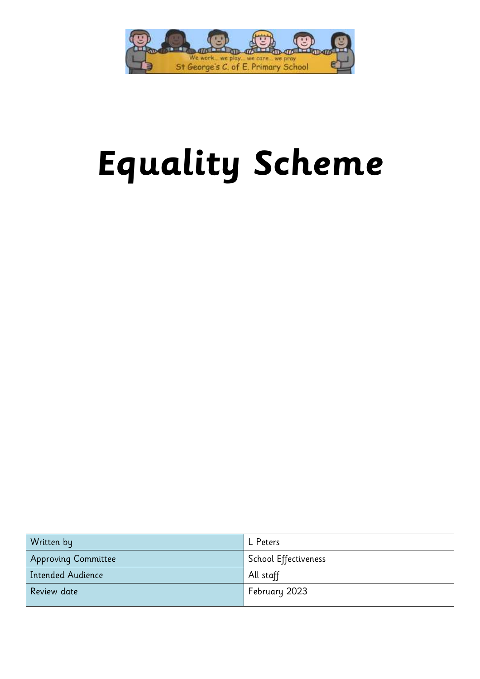

# **Equality Scheme**

| Written by               | L Peters             |
|--------------------------|----------------------|
| Approving Committee      | School Effectiveness |
| <b>Intended Audience</b> | All staff            |
| Review date              | February 2023        |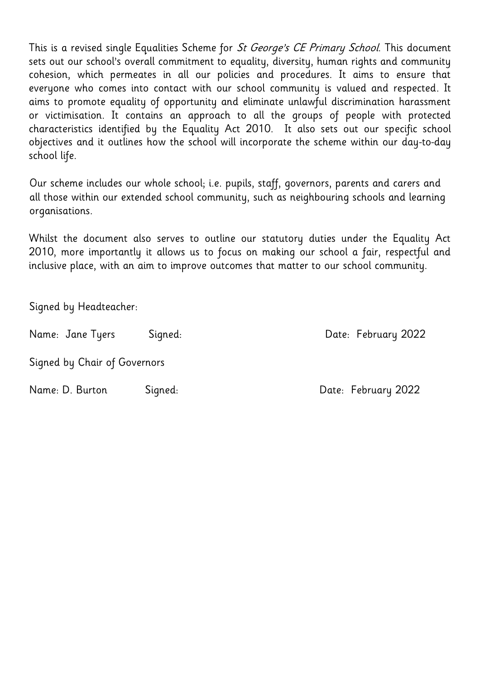This is a revised single Equalities Scheme for *St George's CE Primary School*. This document sets out our school's overall commitment to equality, diversity, human rights and community cohesion, which permeates in all our policies and procedures. It aims to ensure that everyone who comes into contact with our school community is valued and respected. It aims to promote equality of opportunity and eliminate unlawful discrimination harassment or victimisation. It contains an approach to all the groups of people with protected characteristics identified by the Equality Act 2010. It also sets out our specific school objectives and it outlines how the school will incorporate the scheme within our day-to-day school life.

Our scheme includes our whole school; i.e. pupils, staff, governors, parents and carers and all those within our extended school community, such as neighbouring schools and learning organisations.

Whilst the document also serves to outline our statutory duties under the Equality Act 2010, more importantly it allows us to focus on making our school a fair, respectful and inclusive place, with an aim to improve outcomes that matter to our school community.

Signed by Headteacher:

Name: Jane Tyers Signed: Date: February 2022

Signed by Chair of Governors

Name: D. Burton Signed: Date: February 2022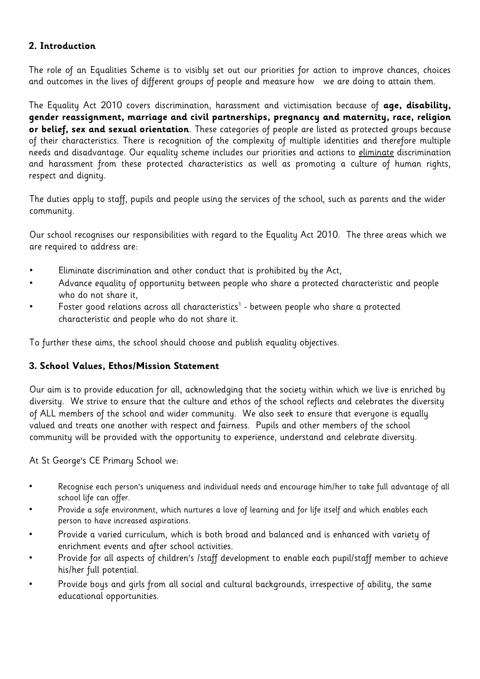# **2. Introduction**

The role of an Equalities Scheme is to visibly set out our priorities for action to improve chances, choices and outcomes in the lives of different groups of people and measure how we are doing to attain them.

The Equality Act 2010 covers discrimination, harassment and victimisation because of **age, disability, gender reassignment, marriage and civil partnerships, pregnancy and maternity, race, religion or belief, sex and sexual orientation**. These categories of people are listed as protected groups because of their characteristics. There is recognition of the complexity of multiple identities and therefore multiple needs and disadvantage. Our equality scheme includes our priorities and actions to eliminate discrimination and harassment from these protected characteristics as well as promoting a culture of human rights, respect and dignity.

The duties apply to staff, pupils and people using the services of the school, such as parents and the wider community.

Our school recognises our responsibilities with regard to the Equality Act 2010. The three areas which we are required to address are:

- Eliminate discrimination and other conduct that is prohibited by the Act,
- Advance equality of opportunity between people who share a protected characteristic and people who do not share it,
- $\quad \quad$  Foster good relations across all characteristics $^1$  between people who share a protected characteristic and people who do not share it.

To further these aims, the school should choose and publish equality objectives.

# **3. School Values, Ethos/Mission Statement**

Our aim is to provide education for all, acknowledging that the society within which we live is enriched by diversity. We strive to ensure that the culture and ethos of the school reflects and celebrates the diversity of ALL members of the school and wider community. We also seek to ensure that everyone is equally valued and treats one another with respect and fairness. Pupils and other members of the school community will be provided with the opportunity to experience, understand and celebrate diversity.

At St George's CE Primary School we:

- Recognise each person's uniqueness and individual needs and encourage him/her to take full advantage of all school life can offer.
- Provide a safe environment, which nurtures a love of learning and for life itself and which enables each person to have increased aspirations.
- Provide a varied curriculum, which is both broad and balanced and is enhanced with variety of enrichment events and after school activities.
- Provide for all aspects of children's /staff development to enable each pupil/staff member to achieve his/her full potential.
- Provide boys and girls from all social and cultural backgrounds, irrespective of ability, the same educational opportunities.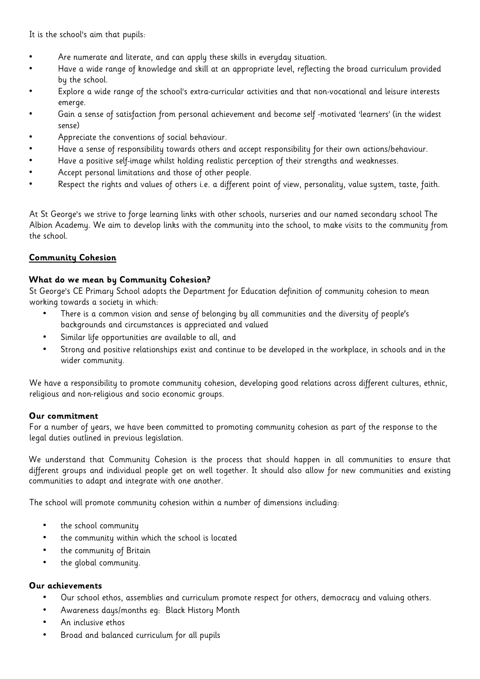It is the school's aim that pupils:

- Are numerate and literate, and can apply these skills in everyday situation.
- Have a wide range of knowledge and skill at an appropriate level, reflecting the broad curriculum provided by the school.
- Explore a wide range of the school's extra-curricular activities and that non-vocational and leisure interests emerge.
- Gain a sense of satisfaction from personal achievement and become self -motivated 'learners' (in the widest sense)
- Appreciate the conventions of social behaviour.
- Have a sense of responsibility towards others and accept responsibility for their own actions/behaviour.
- Have a positive self-image whilst holding realistic perception of their strengths and weaknesses.
- Accept personal limitations and those of other people.
- Respect the rights and values of others i.e. a different point of view, personality, value system, taste, faith.

At St George's we strive to forge learning links with other schools, nurseries and our named secondary school The Albion Academy. We aim to develop links with the community into the school, to make visits to the community from the school.

# **Community Cohesion**

# **What do we mean by Community Cohesion?**

St George's CE Primary School adopts the Department for Education definition of community cohesion to mean working towards a society in which:

- There is a common vision and sense of belonging by all communities and the diversity of people's backgrounds and circumstances is appreciated and valued
- Similar life opportunities are available to all, and
- Strong and positive relationships exist and continue to be developed in the workplace, in schools and in the wider community.

We have a responsibility to promote community cohesion, developing good relations across different cultures, ethnic, religious and non-religious and socio economic groups.

# **Our commitment**

For a number of years, we have been committed to promoting community cohesion as part of the response to the legal duties outlined in previous legislation.

We understand that Community Cohesion is the process that should happen in all communities to ensure that different groups and individual people get on well together. It should also allow for new communities and existing communities to adapt and integrate with one another.

The school will promote community cohesion within a number of dimensions including:

- the school community
- the community within which the school is located
- the community of Britain
- the global community.

#### **Our achievements**

- Our school ethos, assemblies and curriculum promote respect for others, democracy and valuing others.
- Awareness days/months eg: Black History Month
- An inclusive ethos
- Broad and balanced curriculum for all pupils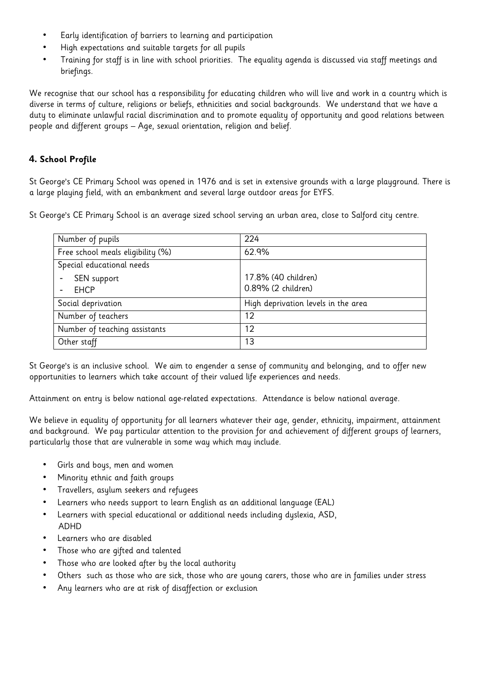- Early identification of barriers to learning and participation
- High expectations and suitable targets for all pupils
- Training for staff is in line with school priorities. The equality agenda is discussed via staff meetings and briefings.

We recognise that our school has a responsibility for educating children who will live and work in a country which is diverse in terms of culture, religions or beliefs, ethnicities and social backgrounds. We understand that we have a duty to eliminate unlawful racial discrimination and to promote equality of opportunity and good relations between people and different groups – Age, sexual orientation, religion and belief.

# **4. School Profile**

St George's CE Primary School was opened in 1976 and is set in extensive grounds with a large playground. There is a large playing field, with an embankment and several large outdoor areas for EYFS.

St George's CE Primary School is an average sized school serving an urban area, close to Salford city centre.

| Number of pupils                  | 224                                 |
|-----------------------------------|-------------------------------------|
| Free school meals eligibility (%) | 62.9%                               |
| Special educational needs         |                                     |
| SEN support                       | 17.8% (40 children)                 |
| <b>EHCP</b>                       | 0.89% (2 children)                  |
| Social deprivation                | High deprivation levels in the area |
| Number of teachers                | 12                                  |
| Number of teaching assistants     | 12                                  |
| Other staff                       | 13                                  |

St George's is an inclusive school. We aim to engender a sense of community and belonging, and to offer new opportunities to learners which take account of their valued life experiences and needs.

Attainment on entry is below national age-related expectations. Attendance is below national average.

We believe in equality of opportunity for all learners whatever their age, gender, ethnicity, impairment, attainment and background. We pay particular attention to the provision for and achievement of different groups of learners, particularly those that are vulnerable in some way which may include.

- Girls and boys, men and women
- Minority ethnic and faith groups
- Travellers, asylum seekers and refugees
- Learners who needs support to learn English as an additional language (EAL)
- Learners with special educational or additional needs including dyslexia, ASD, ADHD
- Learners who are disabled
- Those who are gifted and talented
- Those who are looked after by the local authority
- Others such as those who are sick, those who are young carers, those who are in families under stress
- Any learners who are at risk of disaffection or exclusion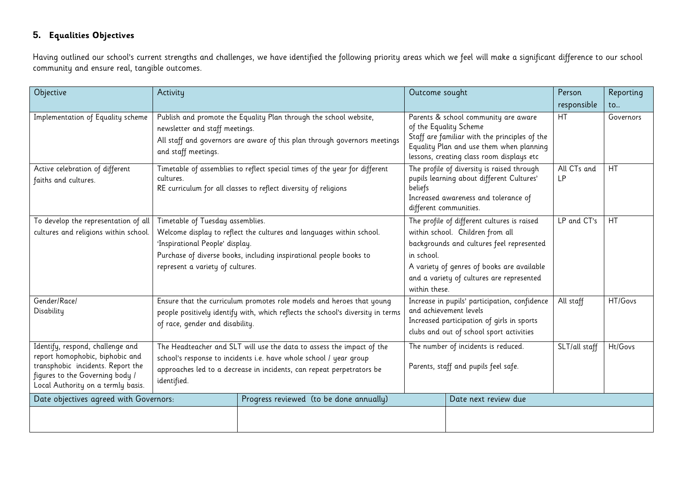# **5. Equalities Objectives**

Having outlined our school's current strengths and challenges, we have identified the following priority areas which we feel will make a significant difference to our school community and ensure real, tangible outcomes.

| Objective                                                                                                                                                                         | Activity                                                                                                                                                                                                                                              |                                                                                                                                                | Outcome sought                                                                                                                                                                                                                                         |                      | Person                   | Reporting     |
|-----------------------------------------------------------------------------------------------------------------------------------------------------------------------------------|-------------------------------------------------------------------------------------------------------------------------------------------------------------------------------------------------------------------------------------------------------|------------------------------------------------------------------------------------------------------------------------------------------------|--------------------------------------------------------------------------------------------------------------------------------------------------------------------------------------------------------------------------------------------------------|----------------------|--------------------------|---------------|
|                                                                                                                                                                                   |                                                                                                                                                                                                                                                       |                                                                                                                                                |                                                                                                                                                                                                                                                        |                      | responsible              | $\mathsf{to}$ |
| Implementation of Equality scheme                                                                                                                                                 | newsletter and staff meetings.<br>and staff meetings.                                                                                                                                                                                                 | Publish and promote the Equality Plan through the school website,<br>All staff and governors are aware of this plan through governors meetings | Parents & school community are aware<br>of the Equality Scheme<br>Staff are familiar with the principles of the<br>Equality Plan and use them when planning<br>lessons, creating class room displays etc                                               |                      | HT                       | Governors     |
| Active celebration of different<br>faiths and cultures.                                                                                                                           | Timetable of assemblies to reflect special times of the year for different<br>cultures.<br>RE curriculum for all classes to reflect diversity of religions                                                                                            |                                                                                                                                                | The profile of diversity is raised through<br>pupils learning about different Cultures'<br>beliefs<br>Increased awareness and tolerance of<br>different communities.                                                                                   |                      | All CTs and<br><b>LP</b> | <b>HT</b>     |
| To develop the representation of all<br>cultures and religions within school.                                                                                                     | Timetable of Tuesday assemblies.<br>Welcome display to reflect the cultures and languages within school.<br>'Inspirational People' display.<br>Purchase of diverse books, including inspirational people books to<br>represent a variety of cultures. |                                                                                                                                                | The profile of different cultures is raised<br>within school. Children from all<br>backgrounds and cultures feel represented<br>in school.<br>A variety of genres of books are available<br>and a variety of cultures are represented<br>within these. |                      | LP and CT's              | <b>HT</b>     |
| Gender/Race/<br>Disability                                                                                                                                                        | Ensure that the curriculum promotes role models and heroes that young<br>people positively identify with, which reflects the school's diversity in terms<br>of race, gender and disability.                                                           |                                                                                                                                                | Increase in pupils' participation, confidence<br>and achievement levels<br>Increased participation of girls in sports<br>clubs and out of school sport activities                                                                                      |                      | All staff                | HT/Govs       |
| Identify, respond, challenge and<br>report homophobic, biphobic and<br>transphobic incidents. Report the<br>figures to the Governing body /<br>Local Authority on a termly basis. | The Headteacher and SLT will use the data to assess the impact of the<br>school's response to incidents i.e. have whole school / year group<br>approaches led to a decrease in incidents, can repeat perpetrators be<br>identified.                   |                                                                                                                                                | The number of incidents is reduced.<br>Parents, staff and pupils feel safe.                                                                                                                                                                            |                      | SLT/all staff            | Ht/Govs       |
| Date objectives agreed with Governors:                                                                                                                                            |                                                                                                                                                                                                                                                       | Progress reviewed (to be done annually)                                                                                                        |                                                                                                                                                                                                                                                        | Date next review due |                          |               |
|                                                                                                                                                                                   |                                                                                                                                                                                                                                                       |                                                                                                                                                |                                                                                                                                                                                                                                                        |                      |                          |               |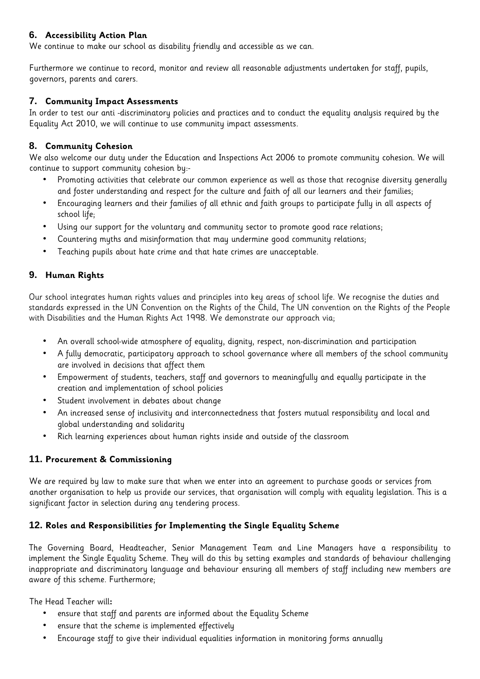#### **6. Accessibility Action Plan**

We continue to make our school as disability friendly and accessible as we can.

Furthermore we continue to record, monitor and review all reasonable adjustments undertaken for staff, pupils, governors, parents and carers.

#### **7. Community Impact Assessments**

In order to test our anti -discriminatory policies and practices and to conduct the equality analysis required by the Equality Act 2010, we will continue to use community impact assessments.

#### **8. Community Cohesion**

We also welcome our duty under the Education and Inspections Act 2006 to promote community cohesion. We will continue to support community cohesion by:-

- Promoting activities that celebrate our common experience as well as those that recognise diversity generally and foster understanding and respect for the culture and faith of all our learners and their families;
- Encouraging learners and their families of all ethnic and faith groups to participate fully in all aspects of school life;
- Using our support for the voluntary and community sector to promote good race relations;
- Countering myths and misinformation that may undermine good community relations;
- Teaching pupils about hate crime and that hate crimes are unacceptable.

# **9. Human Rights**

Our school integrates human rights values and principles into key areas of school life. We recognise the duties and standards expressed in the UN Convention on the Rights of the Child, The UN convention on the Rights of the People with Disabilities and the Human Rights Act 1998. We demonstrate our approach via;

- An overall school-wide atmosphere of equality, dignity, respect, non-discrimination and participation
- A fully democratic, participatory approach to school governance where all members of the school community are involved in decisions that affect them
- Empowerment of students, teachers, staff and governors to meaningfully and equally participate in the creation and implementation of school policies
- Student involvement in debates about change
- An increased sense of inclusivity and interconnectedness that fosters mutual responsibility and local and global understanding and solidarity
- Rich learning experiences about human rights inside and outside of the classroom

# **11. Procurement & Commissioning**

We are required by law to make sure that when we enter into an agreement to purchase goods or services from another organisation to help us provide our services, that organisation will comply with equality legislation. This is a significant factor in selection during any tendering process.

# **12. Roles and Responsibilities for Implementing the Single Equality Scheme**

The Governing Board, Headteacher, Senior Management Team and Line Managers have a responsibility to implement the Single Equality Scheme. They will do this by setting examples and standards of behaviour challenging inappropriate and discriminatory language and behaviour ensuring all members of staff including new members are aware of this scheme. Furthermore;

The Head Teacher will**:** 

- ensure that staff and parents are informed about the Equality Scheme
- ensure that the scheme is implemented effectively
- Encourage staff to give their individual equalities information in monitoring forms annually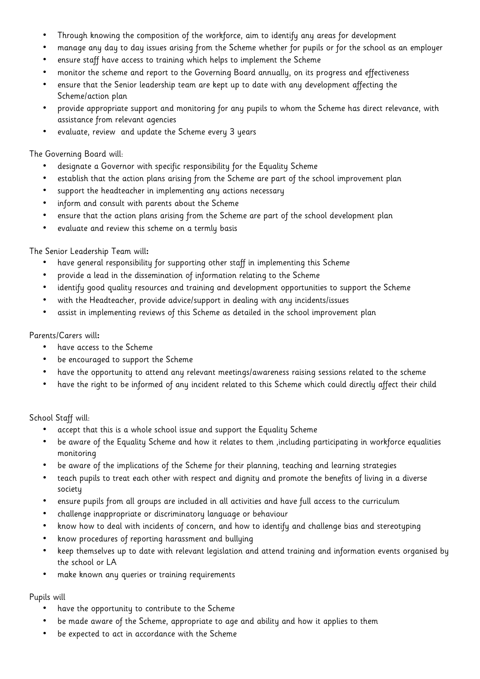- Through knowing the composition of the workforce, aim to identify any areas for development
- manage any day to day issues arising from the Scheme whether for pupils or for the school as an employer
- ensure staff have access to training which helps to implement the Scheme
- monitor the scheme and report to the Governing Board annually, on its progress and effectiveness
- ensure that the Senior leadership team are kept up to date with any development affecting the Scheme/action plan
- provide appropriate support and monitoring for any pupils to whom the Scheme has direct relevance, with assistance from relevant agencies
- evaluate, review and update the Scheme every 3 years

#### The Governing Board will:

- designate a Governor with specific responsibility for the Equality Scheme
- establish that the action plans arising from the Scheme are part of the school improvement plan
- support the headteacher in implementing any actions necessary
- inform and consult with parents about the Scheme
- ensure that the action plans arising from the Scheme are part of the school development plan
- evaluate and review this scheme on a termly basis

#### The Senior Leadership Team will**:**

- have general responsibility for supporting other staff in implementing this Scheme
- provide a lead in the dissemination of information relating to the Scheme
- identify good quality resources and training and development opportunities to support the Scheme
- with the Headteacher, provide advice/support in dealing with any incidents/issues
- assist in implementing reviews of this Scheme as detailed in the school improvement plan

#### Parents/Carers will**:**

- have access to the Scheme
- be encouraged to support the Scheme
- have the opportunity to attend any relevant meetings/awareness raising sessions related to the scheme
- have the right to be informed of any incident related to this Scheme which could directly affect their child

#### School Staff will:

- accept that this is a whole school issue and support the Equality Scheme
- be aware of the Equality Scheme and how it relates to them ,including participating in workforce equalities monitoring
- be aware of the implications of the Scheme for their planning, teaching and learning strategies
- teach pupils to treat each other with respect and dignity and promote the benefits of living in a diverse society
- ensure pupils from all groups are included in all activities and have full access to the curriculum
- challenge inappropriate or discriminatory language or behaviour
- know how to deal with incidents of concern, and how to identify and challenge bias and stereotyping
- know procedures of reporting harassment and bullying
- keep themselves up to date with relevant legislation and attend training and information events organised by the school or LA
- make known any queries or training requirements

#### Pupils will

- have the opportunity to contribute to the Scheme
- be made aware of the Scheme, appropriate to age and ability and how it applies to them
- be expected to act in accordance with the Scheme